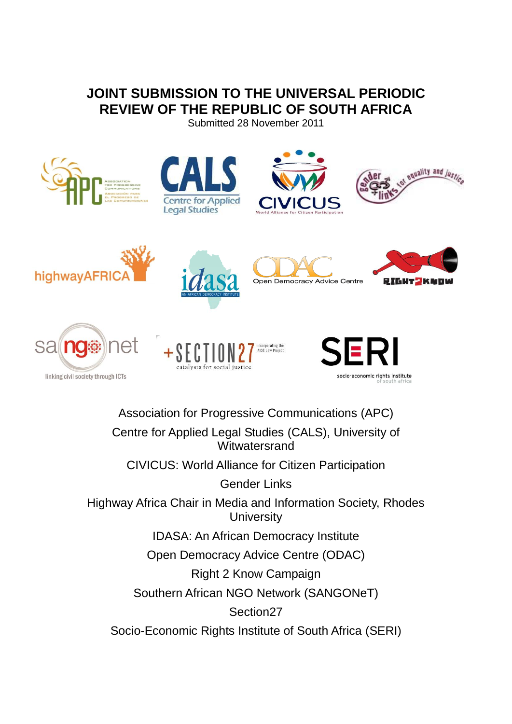# **JOINT SUBMISSION TO THE UNIVERSAL PERIODIC REVIEW OF THE REPUBLIC OF SOUTH AFRICA**

Submitted 28 November 2011























Association for Progressive Communications (APC) Centre for Applied Legal Studies (CALS), University of **Witwatersrand** CIVICUS: World Alliance for Citizen Participation Gender Links Highway Africa Chair in Media and Information Society, Rhodes **University** IDASA: An African Democracy Institute Open Democracy Advice Centre (ODAC) Right 2 Know Campaign Southern African NGO Network (SANGONeT) Section27 Socio-Economic Rights Institute of South Africa (SERI)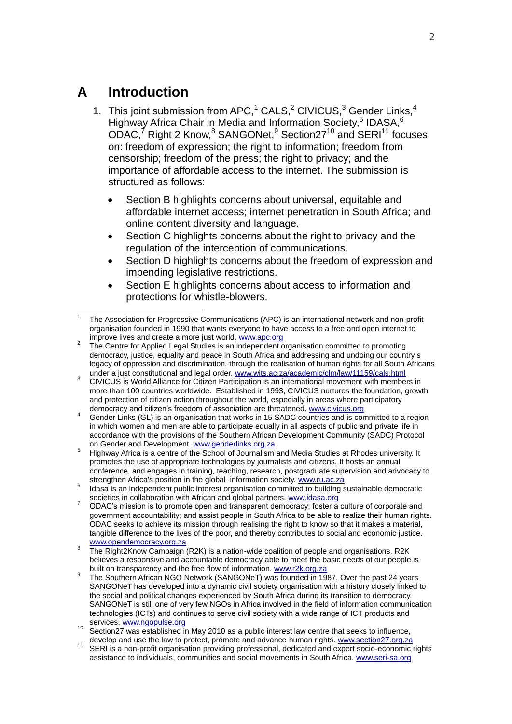# **A Introduction**

- 1. This joint submission from APC,<sup>1</sup> CALS,<sup>2</sup> CIVICUS,<sup>3</sup> Gender Links,<sup>4</sup> Highway Africa Chair in Media and Information Society,<sup>5</sup> IDASA,<sup>6</sup>  $ODAC$ ,<sup>7</sup> Right 2 Know,<sup>8</sup> SANGONet,<sup>9</sup> Section27<sup>10</sup> and SERI<sup>11</sup> focuses on: freedom of expression; the right to information; freedom from censorship; freedom of the press; the right to privacy; and the importance of affordable access to the internet. The submission is structured as follows:
	- Section B highlights concerns about universal, equitable and affordable internet access; internet penetration in South Africa; and online content diversity and language.
	- Section C highlights concerns about the right to privacy and the regulation of the interception of communications.
	- Section D highlights concerns about the freedom of expression and impending legislative restrictions.
	- Section E highlights concerns about access to information and protections for whistle-blowers.

- 2 The Centre for Applied Legal Studies is an independent organisation committed to promoting democracy, justice, equality and peace in South Africa and addressing and undoing our country s legacy of oppression and discrimination, through the realisation of human rights for all South Africans under a just constitutional and legal order. [www.wits.ac.za/academic/clm/law/11159/cals.html](http://www.wits.ac.za/academic/clm/law/11159/cals.html)
- <sup>3</sup> CIVICUS is World Alliance for Citizen Participation is an international movement with members in more than 100 countries worldwide. Established in 1993, CIVICUS nurtures the foundation, growth and protection of citizen action throughout the world, especially in areas where participatory democracy and citizen"s freedom of association are threatened. [www.civicus.org](http://www.civicus.org/)
- <sup>4</sup> Gender Links (GL) is an organisation that works in 15 SADC countries and is committed to a region in which women and men are able to participate equally in all aspects of public and private life in accordance with the provisions of the Southern African Development Community (SADC) Protocol on Gender and Development. [www.genderlinks.org.za](http://www.genderlinks.org.za/)
- <sup>5</sup> Highway Africa is a centre of the School of Journalism and Media Studies at Rhodes university. It promotes the use of appropriate technologies by journalists and citizens. It hosts an annual conference, and engages in training, teaching, research, postgraduate supervision and advocacy to strengthen Africa's position in the global information society. [www.ru.ac.za](http://www.ru.ac.za/)
- <sup>6</sup> Idasa is an independent public interest organisation committed to building sustainable democratic societies in collaboration with African and global partners. [www.idasa.org](http://www.idasa.org/)
- 7 ODAC's mission is to promote open and transparent democracy; foster a culture of corporate and government accountability; and assist people in South Africa to be able to realize their human rights. ODAC seeks to achieve its mission through realising the right to know so that it makes a material, tangible difference to the lives of the poor, and thereby contributes to social and economic justice. [www.opendemocracy.org.za](http://www.opendemocracy.org.za/)
- 8 The Right2Know Campaign (R2K) is a nation-wide coalition of people and organisations. R2K believes a responsive and accountable democracy able to meet the basic needs of our people is built on transparency and the free flow of information[. www.r2k.org.za](http://www.r2k.org.za/)
- 9 The Southern African NGO Network (SANGONeT) was founded in 1987. Over the past 24 years SANGONeT has developed into a dynamic civil society organisation with a history closely linked to the social and political changes experienced by South Africa during its transition to democracy. SANGONeT is still one of very few NGOs in Africa involved in the field of information communication technologies (ICTs) and continues to serve civil society with a wide range of ICT products and services. [www.ngopulse.org](http://www.ngopulse.org/)
- <sup>10</sup> Section27 was established in May 2010 as a public interest law centre that seeks to influence, develop and use the law to protect, promote and advance human rights. [www.section27.org.za](http://www.section27.org.za/)
- <sup>11</sup> SERI is a non-profit organisation providing professional, dedicated and expert socio-economic rights assistance to individuals, communities and social movements in South Africa. [www.seri-sa.org](http://www.seri-sa.org/)

<sup>1</sup> 1 The Association for Progressive Communications (APC) is an international network and non-profit organisation founded in 1990 that wants everyone to have access to a free and open internet to improve lives and create a more just world. [www.apc.org](http://www.apc.org/)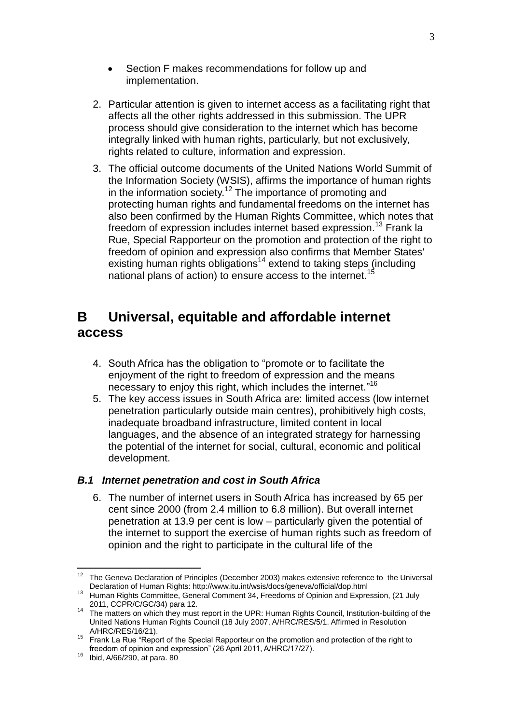- Section F makes recommendations for follow up and implementation.
- 2. Particular attention is given to internet access as a facilitating right that affects all the other rights addressed in this submission. The UPR process should give consideration to the internet which has become integrally linked with human rights, particularly, but not exclusively, rights related to culture, information and expression.
- 3. The official outcome documents of the United Nations World Summit of the Information Society (WSIS), affirms the importance of human rights in the information society.<sup>12</sup> The importance of promoting and protecting human rights and fundamental freedoms on the internet has also been confirmed by the Human Rights Committee, which notes that freedom of expression includes internet based expression.<sup>13</sup> Frank la Rue, Special Rapporteur on the promotion and protection of the right to freedom of opinion and expression also confirms that Member States' existing human rights obligations<sup>14</sup> extend to taking steps (including national plans of action) to ensure access to the internet.<sup>15</sup>

# **B Universal, equitable and affordable internet access**

- 4. South Africa has the obligation to "promote or to facilitate the enjoyment of the right to freedom of expression and the means necessary to enjoy this right, which includes the internet."<sup>16</sup>
- 5. The key access issues in South Africa are: limited access (low internet penetration particularly outside main centres), prohibitively high costs, inadequate broadband infrastructure, limited content in local languages, and the absence of an integrated strategy for harnessing the potential of the internet for social, cultural, economic and political development.

## *B.1 Internet penetration and cost in South Africa*

6. The number of internet users in South Africa has increased by 65 per cent since 2000 (from 2.4 million to 6.8 million). But overall internet penetration at 13.9 per cent is low – particularly given the potential of the internet to support the exercise of human rights such as freedom of opinion and the right to participate in the cultural life of the

<sup>&</sup>lt;u>.</u> <sup>12</sup> The Geneva Declaration of Principles (December 2003) makes extensive reference to the Universal Declaration of Human Rights: http://www.itu.int/wsis/docs/geneva/official/dop.html

<sup>&</sup>lt;sup>13</sup> Human Rights Committee, General Comment 34, Freedoms of Opinion and Expression, (21 July 2011, CCPR/C/GC/34) para 12.

<sup>14</sup> The matters on which they must report in the UPR: Human Rights Council, Institution-building of the United Nations Human Rights Council (18 July 2007, A/HRC/RES/5/1. Affirmed in Resolution A/HRC/RES/16/21).

 $15$  Frank La Rue "Report of the Special Rapporteur on the promotion and protection of the right to freedom of opinion and expression" (26 April 2011, A/HRC/17/27).

 $16$  Ibid, A/66/290, at para. 80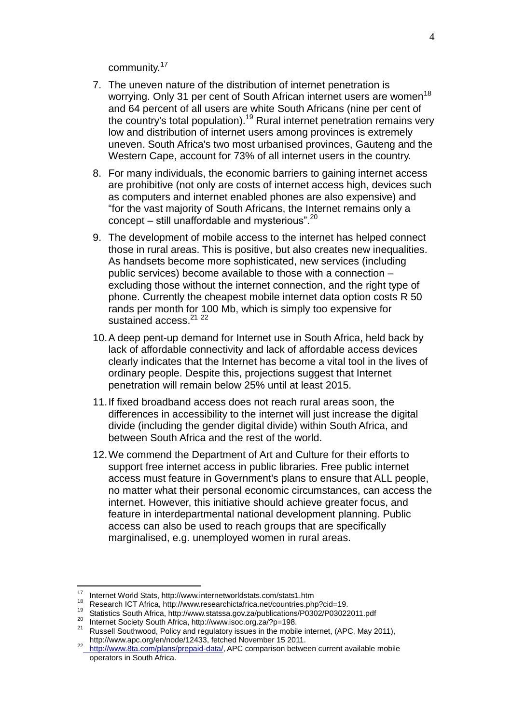community.<sup>17</sup>

- 7. The uneven nature of the distribution of internet penetration is worrying. Only 31 per cent of South African internet users are women<sup>18</sup> and 64 percent of all users are white South Africans (nine per cent of the country's total population).<sup>19</sup> Rural internet penetration remains very low and distribution of internet users among provinces is extremely uneven. South Africa's two most urbanised provinces, Gauteng and the Western Cape, account for 73% of all internet users in the country.
- 8. For many individuals, the economic barriers to gaining internet access are prohibitive (not only are costs of internet access high, devices such as computers and internet enabled phones are also expensive) and "for the vast majority of South Africans, the Internet remains only a concept – still unaffordable and mysterious". $20$
- 9. The development of mobile access to the internet has helped connect those in rural areas. This is positive, but also creates new inequalities. As handsets become more sophisticated, new services (including public services) become available to those with a connection – excluding those without the internet connection, and the right type of phone. Currently the cheapest mobile internet data option costs R 50 rands per month for 100 Mb, which is simply too expensive for sustained access.<sup>21</sup><sup>22</sup>
- 10.A deep pent-up demand for Internet use in South Africa, held back by lack of affordable connectivity and lack of affordable access devices clearly indicates that the Internet has become a vital tool in the lives of ordinary people. Despite this, projections suggest that Internet penetration will remain below 25% until at least 2015.
- 11.If fixed broadband access does not reach rural areas soon, the differences in accessibility to the internet will just increase the digital divide (including the gender digital divide) within South Africa, and between South Africa and the rest of the world.
- 12.We commend the Department of Art and Culture for their efforts to support free internet access in public libraries. Free public internet access must feature in Government's plans to ensure that ALL people, no matter what their personal economic circumstances, can access the internet. However, this initiative should achieve greater focus, and feature in interdepartmental national development planning. Public access can also be used to reach groups that are specifically marginalised, e.g. unemployed women in rural areas.

 $17<sup>17</sup>$ <sup>17</sup> Internet World Stats, http://www.internetworldstats.com/stats1.htm

<sup>&</sup>lt;sup>18</sup> Research ICT Africa, http://www.researchictafrica.net/countries.php?cid=19.

<sup>19</sup> Statistics South Africa, http://www.statssa.gov.za/publications/P0302/P03022011.pdf

<sup>20</sup> Internet Society South Africa, http://www.isoc.org.za/?p=198.

<sup>21</sup> Russell Southwood, Policy and regulatory issues in the mobile internet, (APC, May 2011), http://www.apc.org/en/node/12433, fetched November 15 2011.

<sup>22</sup> [http://www.8ta.com/plans/prepaid-data/,](http://www.8ta.com/plans/prepaid-data/) APC comparison between current available mobile operators in South Africa.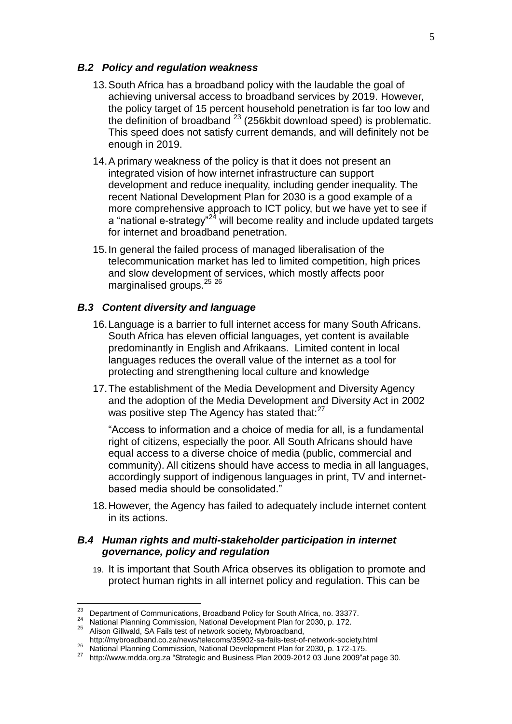#### *B.2 Policy and regulation weakness*

- 13.South Africa has a broadband policy with the laudable the goal of achieving universal access to broadband services by 2019. However, the policy target of 15 percent household penetration is far too low and the definition of broadband <sup>23</sup> (256kbit download speed) is problematic. This speed does not satisfy current demands, and will definitely not be enough in 2019.
- 14.A primary weakness of the policy is that it does not present an integrated vision of how internet infrastructure can support development and reduce inequality, including gender inequality. The recent National Development Plan for 2030 is a good example of a more comprehensive approach to ICT policy, but we have yet to see if a "national e-strategy"<sup>24</sup> will become reality and include updated targets for internet and broadband penetration.
- 15.In general the failed process of managed liberalisation of the telecommunication market has led to limited competition, high prices and slow development of services, which mostly affects poor marginalised groups.<sup>25</sup><sup>26</sup>

#### *B.3 Content diversity and language*

- 16.Language is a barrier to full internet access for many South Africans. South Africa has eleven official languages, yet content is available predominantly in English and Afrikaans. Limited content in local languages reduces the overall value of the internet as a tool for protecting and strengthening local culture and knowledge
- 17.The establishment of the Media Development and Diversity Agency and the adoption of the Media Development and Diversity Act in 2002 was positive step The Agency has stated that: $27$

"Access to information and a choice of media for all, is a fundamental right of citizens, especially the poor. All South Africans should have equal access to a diverse choice of media (public, commercial and community). All citizens should have access to media in all languages, accordingly support of indigenous languages in print, TV and internetbased media should be consolidated."

18.However, the Agency has failed to adequately include internet content in its actions.

#### *B.4 Human rights and multi-stakeholder participation in internet governance, policy and regulation*

19. It is important that South Africa observes its obligation to promote and protect human rights in all internet policy and regulation. This can be

 $^{23}$  Department of Communications, Broadband Policy for South Africa, no. 33377.

<sup>24</sup> National Planning Commission, National Development Plan for 2030, p. 172.

<sup>25</sup> Alison Gillwald, SA Fails test of network society, Mybroadband,

http://mybroadband.co.za/news/telecoms/35902-sa-fails-test-of-network-society.html 26 National Planning Commission, National Development Plan for 2030, p. 172-175.<br>26 National Planning Commission, National Development Plan for 2030, p. 172-175.

<sup>27</sup> http://www.mdda.org.za "Strategic and Business Plan 2009-2012 03 June 2009"at page 30.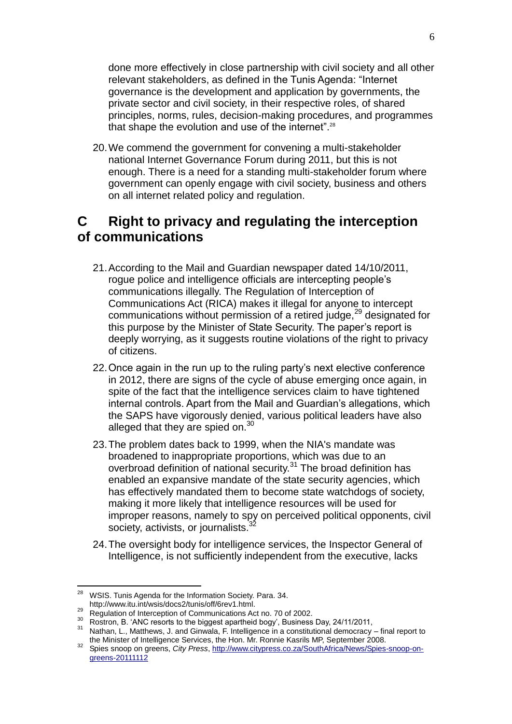done more effectively in close partnership with civil society and all other relevant stakeholders, as defined in the Tunis Agenda: "Internet governance is the development and application by governments, the private sector and civil society, in their respective roles, of shared principles, norms, rules, decision-making procedures, and programmes that shape the evolution and use of the internet".<sup>28</sup>

20.We commend the government for convening a multi-stakeholder national Internet Governance Forum during 2011, but this is not enough. There is a need for a standing multi-stakeholder forum where government can openly engage with civil society, business and others on all internet related policy and regulation.

# **C Right to privacy and regulating the interception of communications**

- 21.According to the Mail and Guardian newspaper dated 14/10/2011, rogue police and intelligence officials are intercepting people"s communications illegally. The Regulation of Interception of Communications Act (RICA) makes it illegal for anyone to intercept communications without permission of a retired judge,<sup>29</sup> designated for this purpose by the Minister of State Security. The paper"s report is deeply worrying, as it suggests routine violations of the right to privacy of citizens.
- 22.Once again in the run up to the ruling party"s next elective conference in 2012, there are signs of the cycle of abuse emerging once again, in spite of the fact that the intelligence services claim to have tightened internal controls. Apart from the Mail and Guardian"s allegations, which the SAPS have vigorously denied, various political leaders have also alleged that they are spied on. $30<sup>30</sup>$
- 23.The problem dates back to 1999, when the NIA's mandate was broadened to inappropriate proportions, which was due to an overbroad definition of national security.<sup>31</sup> The broad definition has enabled an expansive mandate of the state security agencies, which has effectively mandated them to become state watchdogs of society, making it more likely that intelligence resources will be used for improper reasons, namely to spy on perceived political opponents, civil society, activists, or journalists.
- 24.The oversight body for intelligence services, the Inspector General of Intelligence, is not sufficiently independent from the executive, lacks

 $28$  WSIS. Tunis Agenda for the Information Society. Para. 34.

http://www.itu.int/wsis/docs2/tunis/off/6rev1.html.

<sup>&</sup>lt;sup>29</sup> Regulation of Interception of Communications Act no. 70 of 2002.

<sup>30</sup> Rostron, B. "ANC resorts to the biggest apartheid bogy", Business Day, 24/11/2011,

<sup>31</sup> Nathan, L., Matthews, J. and Ginwala, F. Intelligence in a constitutional democracy – final report to the Minister of Intelligence Services, the Hon. Mr. Ronnie Kasrils MP, September 2008.

<sup>32</sup> Spies snoop on greens, *City Press*, [http://www.citypress.co.za/SouthAfrica/News/Spies-snoop-on](http://www.citypress.co.za/SouthAfrica/News/Spies-snoop-on-greens-20111112)[greens-20111112](http://www.citypress.co.za/SouthAfrica/News/Spies-snoop-on-greens-20111112)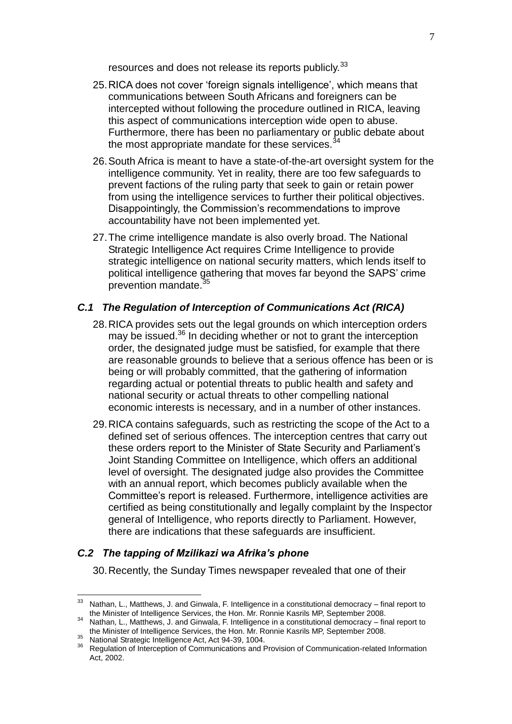resources and does not release its reports publicly.<sup>33</sup>

- 25.RICA does not cover "foreign signals intelligence", which means that communications between South Africans and foreigners can be intercepted without following the procedure outlined in RICA, leaving this aspect of communications interception wide open to abuse. Furthermore, there has been no parliamentary or public debate about the most appropriate mandate for these services. $34$
- 26.South Africa is meant to have a state-of-the-art oversight system for the intelligence community. Yet in reality, there are too few safeguards to prevent factions of the ruling party that seek to gain or retain power from using the intelligence services to further their political objectives. Disappointingly, the Commission's recommendations to improve accountability have not been implemented yet.
- 27.The crime intelligence mandate is also overly broad. The National Strategic Intelligence Act requires Crime Intelligence to provide strategic intelligence on national security matters, which lends itself to political intelligence gathering that moves far beyond the SAPS" crime prevention mandate.<sup>3</sup>

### *C.1 The Regulation of Interception of Communications Act (RICA)*

- 28.RICA provides sets out the legal grounds on which interception orders may be issued.<sup>36</sup> In deciding whether or not to grant the interception order, the designated judge must be satisfied, for example that there are reasonable grounds to believe that a serious offence has been or is being or will probably committed, that the gathering of information regarding actual or potential threats to public health and safety and national security or actual threats to other compelling national economic interests is necessary, and in a number of other instances.
- 29.RICA contains safeguards, such as restricting the scope of the Act to a defined set of serious offences. The interception centres that carry out these orders report to the Minister of State Security and Parliament"s Joint Standing Committee on Intelligence, which offers an additional level of oversight. The designated judge also provides the Committee with an annual report, which becomes publicly available when the Committee"s report is released. Furthermore, intelligence activities are certified as being constitutionally and legally complaint by the Inspector general of Intelligence, who reports directly to Parliament. However, there are indications that these safeguards are insufficient.

#### *C.2 The tapping of Mzilikazi wa Afrika's phone*

30.Recently, the Sunday Times newspaper revealed that one of their

<sup>33</sup> Nathan, L., Matthews, J. and Ginwala, F. Intelligence in a constitutional democracy – final report to the Minister of Intelligence Services, the Hon. Mr. Ronnie Kasrils MP, September 2008.

<sup>34</sup> Nathan, L., Matthews, J. and Ginwala, F. Intelligence in a constitutional democracy – final report to the Minister of Intelligence Services, the Hon. Mr. Ronnie Kasrils MP, September 2008.

<sup>35</sup> National Strategic Intelligence Act, Act 94-39, 1004.

<sup>36</sup> Regulation of Interception of Communications and Provision of Communication-related Information Act, 2002.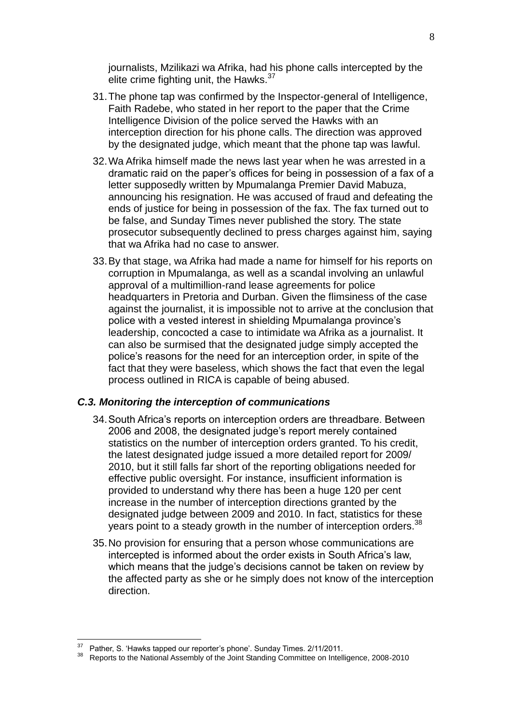journalists, Mzilikazi wa Afrika, had his phone calls intercepted by the elite crime fighting unit, the Hawks.<sup>37</sup>

- 31.The phone tap was confirmed by the Inspector-general of Intelligence, Faith Radebe, who stated in her report to the paper that the Crime Intelligence Division of the police served the Hawks with an interception direction for his phone calls. The direction was approved by the designated judge, which meant that the phone tap was lawful.
- 32.Wa Afrika himself made the news last year when he was arrested in a dramatic raid on the paper"s offices for being in possession of a fax of a letter supposedly written by Mpumalanga Premier David Mabuza, announcing his resignation. He was accused of fraud and defeating the ends of justice for being in possession of the fax. The fax turned out to be false, and Sunday Times never published the story. The state prosecutor subsequently declined to press charges against him, saying that wa Afrika had no case to answer.
- 33.By that stage, wa Afrika had made a name for himself for his reports on corruption in Mpumalanga, as well as a scandal involving an unlawful approval of a multimillion-rand lease agreements for police headquarters in Pretoria and Durban. Given the flimsiness of the case against the journalist, it is impossible not to arrive at the conclusion that police with a vested interest in shielding Mpumalanga province"s leadership, concocted a case to intimidate wa Afrika as a journalist. It can also be surmised that the designated judge simply accepted the police"s reasons for the need for an interception order, in spite of the fact that they were baseless, which shows the fact that even the legal process outlined in RICA is capable of being abused.

#### *C.3. Monitoring the interception of communications*

- 34.South Africa"s reports on interception orders are threadbare. Between 2006 and 2008, the designated judge"s report merely contained statistics on the number of interception orders granted. To his credit, the latest designated judge issued a more detailed report for 2009/ 2010, but it still falls far short of the reporting obligations needed for effective public oversight. For instance, insufficient information is provided to understand why there has been a huge 120 per cent increase in the number of interception directions granted by the designated judge between 2009 and 2010. In fact, statistics for these years point to a steady growth in the number of interception orders.<sup>38</sup>
- 35.No provision for ensuring that a person whose communications are intercepted is informed about the order exists in South Africa's law. which means that the judge's decisions cannot be taken on review by the affected party as she or he simply does not know of the interception direction.

<u>.</u>

<sup>&</sup>lt;sup>37</sup> Pather, S. 'Hawks tapped our reporter's phone'. Sunday Times. 2/11/2011.

<sup>38</sup> Reports to the National Assembly of the Joint Standing Committee on Intelligence, 2008-2010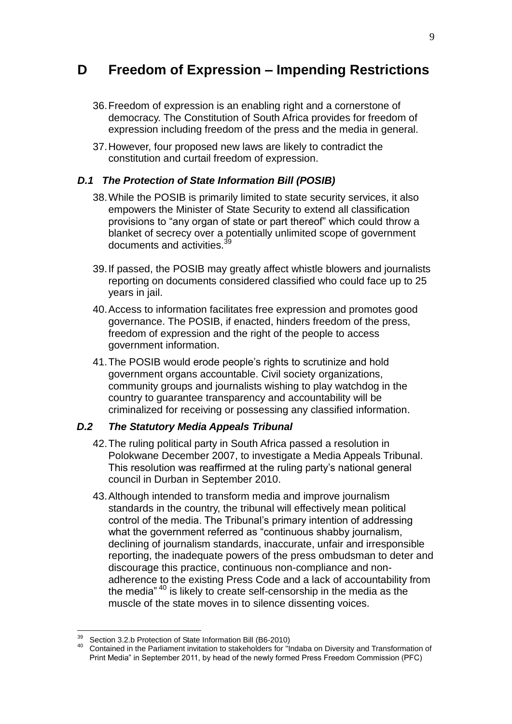# **D Freedom of Expression – Impending Restrictions**

- 36.Freedom of expression is an enabling right and a cornerstone of democracy. The Constitution of South Africa provides for freedom of expression including freedom of the press and the media in general.
- 37.However, four proposed new laws are likely to contradict the constitution and curtail freedom of expression.

#### *D.1 The Protection of State Information Bill (POSIB)*

- 38.While the POSIB is primarily limited to state security services, it also empowers the Minister of State Security to extend all classification provisions to "any organ of state or part thereof" which could throw a blanket of secrecy over a potentially unlimited scope of government documents and activities.<sup>3</sup>
- 39.If passed, the POSIB may greatly affect whistle blowers and journalists reporting on documents considered classified who could face up to 25 years in jail.
- 40.Access to information facilitates free expression and promotes good governance. The POSIB, if enacted, hinders freedom of the press, freedom of expression and the right of the people to access government information.
- 41.The POSIB would erode people"s rights to scrutinize and hold government organs accountable. Civil society organizations, community groups and journalists wishing to play watchdog in the country to guarantee transparency and accountability will be criminalized for receiving or possessing any classified information.

#### *D.2 The Statutory Media Appeals Tribunal*

- 42.The ruling political party in South Africa passed a resolution in Polokwane December 2007, to investigate a Media Appeals Tribunal. This resolution was reaffirmed at the ruling party"s national general council in Durban in September 2010.
- 43.Although intended to transform media and improve journalism standards in the country, the tribunal will effectively mean political control of the media. The Tribunal"s primary intention of addressing what the government referred as "continuous shabby journalism, declining of journalism standards, inaccurate, unfair and irresponsible reporting, the inadequate powers of the press ombudsman to deter and discourage this practice, continuous non-compliance and nonadherence to the existing Press Code and a lack of accountability from the media" <sup>40</sup> is likely to create self-censorship in the media as the muscle of the state moves in to silence dissenting voices.

<sup>&</sup>lt;sup>39</sup> Section 3.2.b Protection of State Information Bill (B6-2010)

<sup>&</sup>lt;sup>40</sup> Contained in the Parliament invitation to stakeholders for "Indaba on Diversity and Transformation of Print Media" in September 2011, by head of the newly formed Press Freedom Commission (PFC)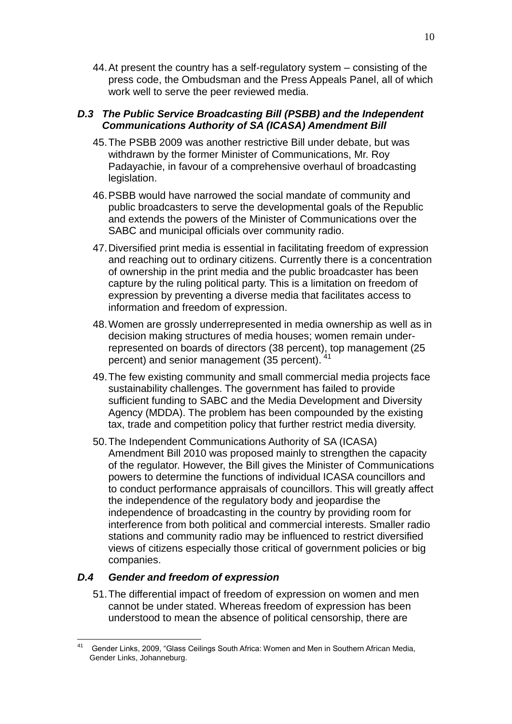44.At present the country has a self-regulatory system – consisting of the press code, the Ombudsman and the Press Appeals Panel, all of which work well to serve the peer reviewed media.

#### *D.3 The Public Service Broadcasting Bill (PSBB) and the Independent Communications Authority of SA (ICASA) Amendment Bill*

- 45.The PSBB 2009 was another restrictive Bill under debate, but was withdrawn by the former Minister of Communications, Mr. Roy Padayachie, in favour of a comprehensive overhaul of broadcasting legislation.
- 46.PSBB would have narrowed the social mandate of community and public broadcasters to serve the developmental goals of the Republic and extends the powers of the Minister of Communications over the SABC and municipal officials over community radio.
- 47.Diversified print media is essential in facilitating freedom of expression and reaching out to ordinary citizens. Currently there is a concentration of ownership in the print media and the public broadcaster has been capture by the ruling political party. This is a limitation on freedom of expression by preventing a diverse media that facilitates access to information and freedom of expression.
- 48.Women are grossly underrepresented in media ownership as well as in decision making structures of media houses; women remain underrepresented on boards of directors (38 percent), top management (25 percent) and senior management (35 percent).
- 49.The few existing community and small commercial media projects face sustainability challenges. The government has failed to provide sufficient funding to SABC and the Media Development and Diversity Agency (MDDA). The problem has been compounded by the existing tax, trade and competition policy that further restrict media diversity.
- 50.The Independent Communications Authority of SA (ICASA) Amendment Bill 2010 was proposed mainly to strengthen the capacity of the regulator. However, the Bill gives the Minister of Communications powers to determine the functions of individual ICASA councillors and to conduct performance appraisals of councillors. This will greatly affect the independence of the regulatory body and jeopardise the independence of broadcasting in the country by providing room for interference from both political and commercial interests. Smaller radio stations and community radio may be influenced to restrict diversified views of citizens especially those critical of government policies or big companies.

#### *D.4 Gender and freedom of expression*

51.The differential impact of freedom of expression on women and men cannot be under stated. Whereas freedom of expression has been understood to mean the absence of political censorship, there are

<sup>41</sup> <sup>41</sup> Gender Links, 2009, "Glass Ceilings South Africa: Women and Men in Southern African Media, Gender Links, Johanneburg.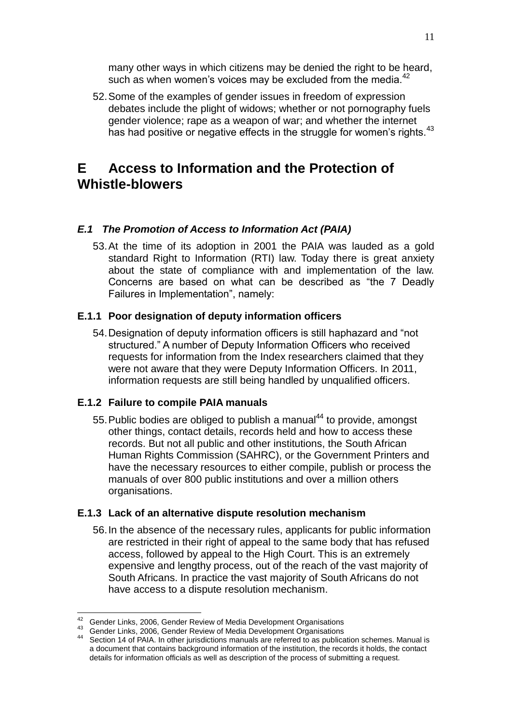many other ways in which citizens may be denied the right to be heard, such as when women's voices may be excluded from the media.<sup>42</sup>

52.Some of the examples of gender issues in freedom of expression debates include the plight of widows; whether or not pornography fuels gender violence; rape as a weapon of war; and whether the internet has had positive or negative effects in the struggle for women's rights.<sup>43</sup>

# **E Access to Information and the Protection of Whistle-blowers**

### *E.1 The Promotion of Access to Information Act (PAIA)*

53.At the time of its adoption in 2001 the PAIA was lauded as a gold standard Right to Information (RTI) law. Today there is great anxiety about the state of compliance with and implementation of the law. Concerns are based on what can be described as "the 7 Deadly Failures in Implementation", namely:

#### **E.1.1 Poor designation of deputy information officers**

54.Designation of deputy information officers is still haphazard and "not structured." A number of Deputy Information Officers who received requests for information from the Index researchers claimed that they were not aware that they were Deputy Information Officers. In 2011, information requests are still being handled by unqualified officers.

### **E.1.2 Failure to compile PAIA manuals**

55. Public bodies are obliged to publish a manual<sup>44</sup> to provide, amongst other things, contact details, records held and how to access these records. But not all public and other institutions, the South African Human Rights Commission (SAHRC), or the Government Printers and have the necessary resources to either compile, publish or process the manuals of over 800 public institutions and over a million others organisations.

#### **E.1.3 Lack of an alternative dispute resolution mechanism**

56.In the absence of the necessary rules, applicants for public information are restricted in their right of appeal to the same body that has refused access, followed by appeal to the High Court. This is an extremely expensive and lengthy process, out of the reach of the vast majority of South Africans. In practice the vast majority of South Africans do not have access to a dispute resolution mechanism.

<sup>1</sup>  $^{42}$  Gender Links, 2006, Gender Review of Media Development Organisations

<sup>43</sup> Gender Links, 2006, Gender Review of Media Development Organisations

<sup>44</sup> Section 14 of PAIA. In other jurisdictions manuals are referred to as publication schemes. Manual is a document that contains background information of the institution, the records it holds, the contact details for information officials as well as description of the process of submitting a request.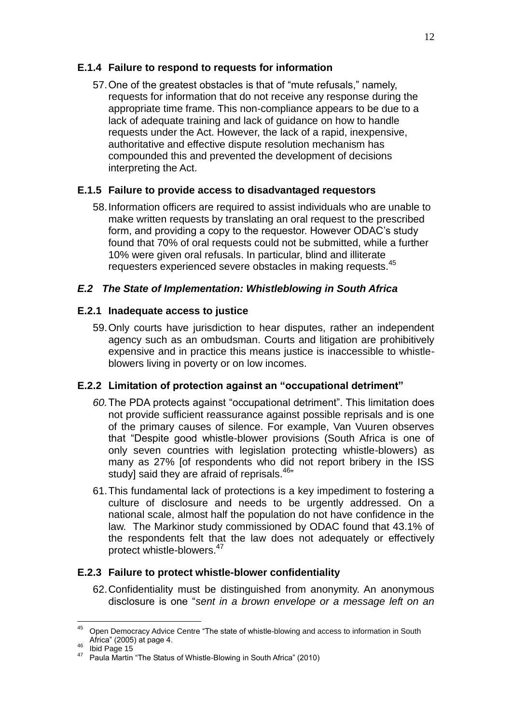## **E.1.4 Failure to respond to requests for information**

57.One of the greatest obstacles is that of "mute refusals," namely, requests for information that do not receive any response during the appropriate time frame. This non-compliance appears to be due to a lack of adequate training and lack of guidance on how to handle requests under the Act. However, the lack of a rapid, inexpensive, authoritative and effective dispute resolution mechanism has compounded this and prevented the development of decisions interpreting the Act.

### **E.1.5 Failure to provide access to disadvantaged requestors**

58.Information officers are required to assist individuals who are unable to make written requests by translating an oral request to the prescribed form, and providing a copy to the requestor. However ODAC"s study found that 70% of oral requests could not be submitted, while a further 10% were given oral refusals. In particular, blind and illiterate requesters experienced severe obstacles in making requests.<sup>45</sup>

## *E.2 The State of Implementation: Whistleblowing in South Africa*

## **E.2.1 Inadequate access to justice**

59.Only courts have jurisdiction to hear disputes, rather an independent agency such as an ombudsman. Courts and litigation are prohibitively expensive and in practice this means justice is inaccessible to whistleblowers living in poverty or on low incomes.

## **E.2.2 Limitation of protection against an "occupational detriment"**

- *60.*The PDA protects against "occupational detriment". This limitation does not provide sufficient reassurance against possible reprisals and is one of the primary causes of silence. For example, Van Vuuren observes that "Despite good whistle-blower provisions (South Africa is one of only seven countries with legislation protecting whistle-blowers) as many as 27% [of respondents who did not report bribery in the ISS study] said they are afraid of reprisals.<sup>46</sup>"
- 61.This fundamental lack of protections is a key impediment to fostering a culture of disclosure and needs to be urgently addressed. On a national scale, almost half the population do not have confidence in the law. The Markinor study commissioned by ODAC found that 43.1% of the respondents felt that the law does not adequately or effectively protect whistle-blowers.<sup>47</sup>

## **E.2.3 Failure to protect whistle-blower confidentiality**

62.Confidentiality must be distinguished from anonymity. An anonymous disclosure is one "*sent in a brown envelope or a message left on an* 

<sup>&</sup>lt;u>.</u> <sup>45</sup> Open Democracy Advice Centre "The state of whistle-blowing and access to information in South Africa" (2005) at page 4.

 $46$  Ibid Page 15

<sup>&</sup>lt;sup>47</sup> Paula Martin "The Status of Whistle-Blowing in South Africa" (2010)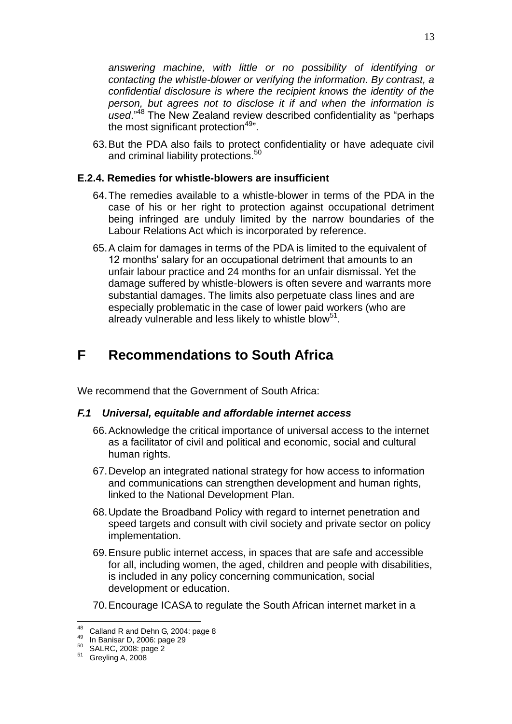*answering machine, with little or no possibility of identifying or contacting the whistle-blower or verifying the information. By contrast, a confidential disclosure is where the recipient knows the identity of the person, but agrees not to disclose it if and when the information is used*."<sup>48</sup> The New Zealand review described confidentiality as "perhaps the most significant protection $49"$ .

63.But the PDA also fails to protect confidentiality or have adequate civil and criminal liability protections.<sup>50</sup>

#### **E.2.4. Remedies for whistle-blowers are insufficient**

- 64.The remedies available to a whistle-blower in terms of the PDA in the case of his or her right to protection against occupational detriment being infringed are unduly limited by the narrow boundaries of the Labour Relations Act which is incorporated by reference.
- 65.A claim for damages in terms of the PDA is limited to the equivalent of 12 months" salary for an occupational detriment that amounts to an unfair labour practice and 24 months for an unfair dismissal. Yet the damage suffered by whistle-blowers is often severe and warrants more substantial damages. The limits also perpetuate class lines and are especially problematic in the case of lower paid workers (who are already vulnerable and less likely to whistle blow<sup>51</sup>.

# **F Recommendations to South Africa**

We recommend that the Government of South Africa:

## *F.1 Universal, equitable and affordable internet access*

- 66.Acknowledge the critical importance of universal access to the internet as a facilitator of civil and political and economic, social and cultural human rights.
- 67.Develop an integrated national strategy for how access to information and communications can strengthen development and human rights, linked to the National Development Plan.
- 68.Update the Broadband Policy with regard to internet penetration and speed targets and consult with civil society and private sector on policy implementation.
- 69.Ensure public internet access, in spaces that are safe and accessible for all, including women, the aged, children and people with disabilities, is included in any policy concerning communication, social development or education.
- 70.Encourage ICASA to regulate the South African internet market in a

<u>.</u>

 $48$  Calland R and Dehn G, 2004: page 8

<sup>49</sup> In Banisar D, 2006: page 29

<sup>50</sup> SALRC, 2008: page 2

 $51$  Greyling A, 2008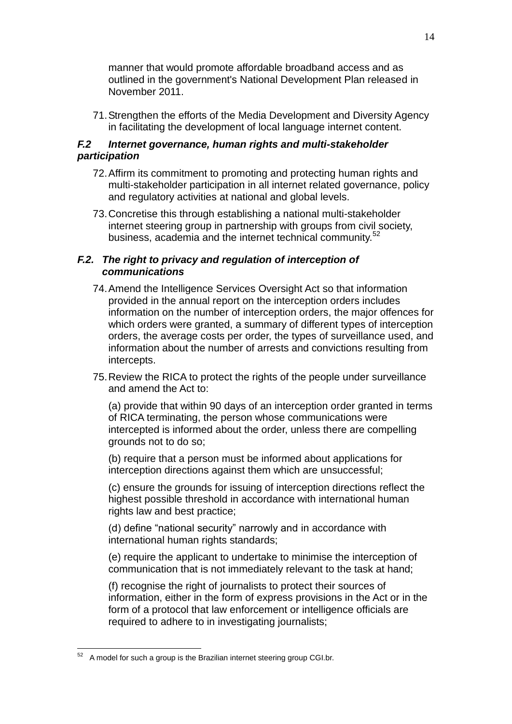manner that would promote affordable broadband access and as outlined in the government's National Development Plan released in November 2011.

71.Strengthen the efforts of the Media Development and Diversity Agency in facilitating the development of local language internet content.

### *F.2 Internet governance, human rights and multi-stakeholder participation*

- 72.Affirm its commitment to promoting and protecting human rights and multi-stakeholder participation in all internet related governance, policy and regulatory activities at national and global levels.
- 73.Concretise this through establishing a national multi-stakeholder internet steering group in partnership with groups from civil society, business, academia and the internet technical community.<sup>52</sup>

#### *F.2. The right to privacy and regulation of interception of communications*

- 74.Amend the Intelligence Services Oversight Act so that information provided in the annual report on the interception orders includes information on the number of interception orders, the major offences for which orders were granted, a summary of different types of interception orders, the average costs per order, the types of surveillance used, and information about the number of arrests and convictions resulting from intercepts.
- 75.Review the RICA to protect the rights of the people under surveillance and amend the Act to:

(a) provide that within 90 days of an interception order granted in terms of RICA terminating, the person whose communications were intercepted is informed about the order, unless there are compelling grounds not to do so;

(b) require that a person must be informed about applications for interception directions against them which are unsuccessful;

(c) ensure the grounds for issuing of interception directions reflect the highest possible threshold in accordance with international human rights law and best practice;

(d) define "national security" narrowly and in accordance with international human rights standards;

(e) require the applicant to undertake to minimise the interception of communication that is not immediately relevant to the task at hand;

(f) recognise the right of journalists to protect their sources of information, either in the form of express provisions in the Act or in the form of a protocol that law enforcement or intelligence officials are required to adhere to in investigating journalists;

A model for such a group is the Brazilian internet steering group CGI.br.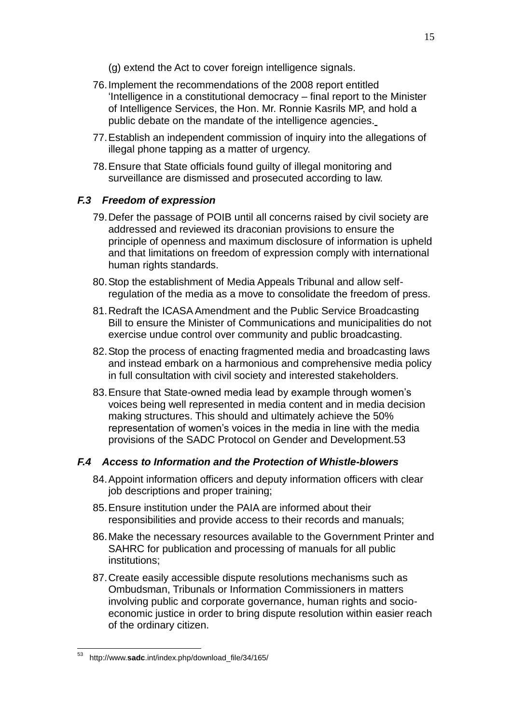- (g) extend the Act to cover foreign intelligence signals.
- 76.Implement the recommendations of the 2008 report entitled "Intelligence in a constitutional democracy – final report to the Minister of Intelligence Services, the Hon. Mr. Ronnie Kasrils MP, and hold a public debate on the mandate of the intelligence agencies.
- 77.Establish an independent commission of inquiry into the allegations of illegal phone tapping as a matter of urgency.
- 78.Ensure that State officials found guilty of illegal monitoring and surveillance are dismissed and prosecuted according to law.

### *F.3 Freedom of expression*

- 79.Defer the passage of POIB until all concerns raised by civil society are addressed and reviewed its draconian provisions to ensure the principle of openness and maximum disclosure of information is upheld and that limitations on freedom of expression comply with international human rights standards.
- 80.Stop the establishment of Media Appeals Tribunal and allow selfregulation of the media as a move to consolidate the freedom of press.
- 81.Redraft the ICASA Amendment and the Public Service Broadcasting Bill to ensure the Minister of Communications and municipalities do not exercise undue control over community and public broadcasting.
- 82.Stop the process of enacting fragmented media and broadcasting laws and instead embark on a harmonious and comprehensive media policy in full consultation with civil society and interested stakeholders.
- 83.Ensure that State-owned media lead by example through women"s voices being well represented in media content and in media decision making structures. This should and ultimately achieve the 50% representation of women"s voices in the media in line with the media provisions of the SADC Protocol on Gender and Development.53

#### *F.4 Access to Information and the Protection of Whistle-blowers*

- 84.Appoint information officers and deputy information officers with clear job descriptions and proper training;
- 85.Ensure institution under the PAIA are informed about their responsibilities and provide access to their records and manuals;
- 86.Make the necessary resources available to the Government Printer and SAHRC for publication and processing of manuals for all public institutions;
- 87.Create easily accessible dispute resolutions mechanisms such as Ombudsman, Tribunals or Information Commissioners in matters involving public and corporate governance, human rights and socioeconomic justice in order to bring dispute resolution within easier reach of the ordinary citizen.

<sup>53</sup> <sup>53</sup> http://www.**sadc**.int/index.php/download\_file/34/165/